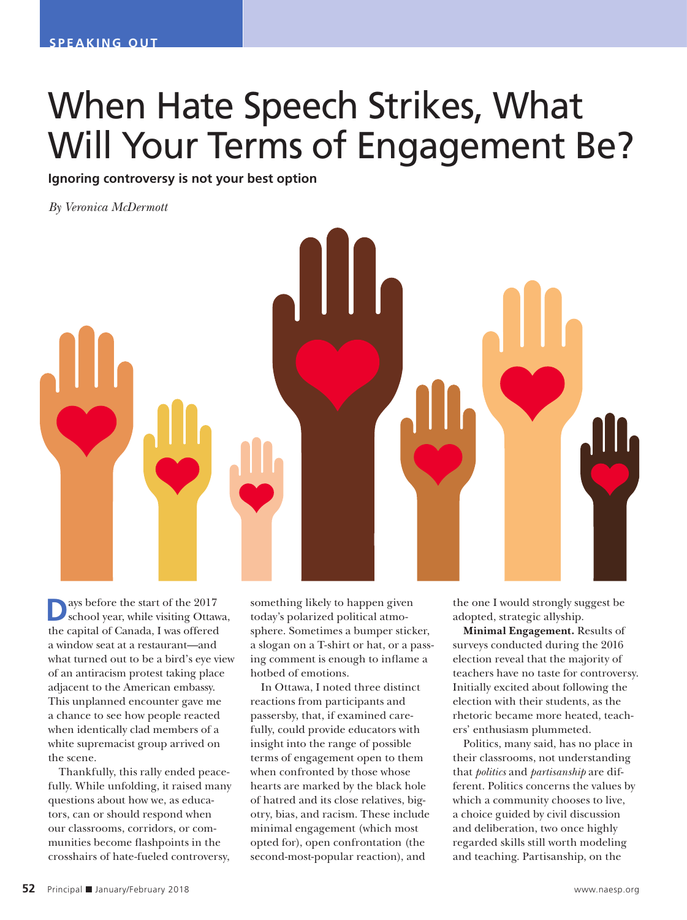## When Hate Speech Strikes, What Will Your Terms of Engagement Be?

**Ignoring controversy is not your best option**

*By Veronica McDermott*



**D**ays before the start of the 2017<br>school year, while visiting Ottawa, the capital of Canada, I was offered a window seat at a restaurant—and what turned out to be a bird's eye view of an antiracism protest taking place adjacent to the American embassy. This unplanned encounter gave me a chance to see how people reacted when identically clad members of a white supremacist group arrived on the scene.

Thankfully, this rally ended peacefully. While unfolding, it raised many questions about how we, as educators, can or should respond when our classrooms, corridors, or communities become flashpoints in the crosshairs of hate-fueled controversy,

something likely to happen given today's polarized political atmosphere. Sometimes a bumper sticker, a slogan on a T-shirt or hat, or a passing comment is enough to inflame a hotbed of emotions.

In Ottawa, I noted three distinct reactions from participants and passersby, that, if examined carefully, could provide educators with insight into the range of possible terms of engagement open to them when confronted by those whose hearts are marked by the black hole of hatred and its close relatives, bigotry, bias, and racism. These include minimal engagement (which most opted for), open confrontation (the second-most-popular reaction), and

the one I would strongly suggest be adopted, strategic allyship.

**Minimal Engagement.** Results of surveys conducted during the 2016 election reveal that the majority of teachers have no taste for controversy. Initially excited about following the election with their students, as the rhetoric became more heated, teachers' enthusiasm plummeted.

Politics, many said, has no place in their classrooms, not understanding that *politics* and *partisanship* are different. Politics concerns the values by which a community chooses to live, a choice guided by civil discussion and deliberation, two once highly regarded skills still worth modeling and teaching. Partisanship, on the